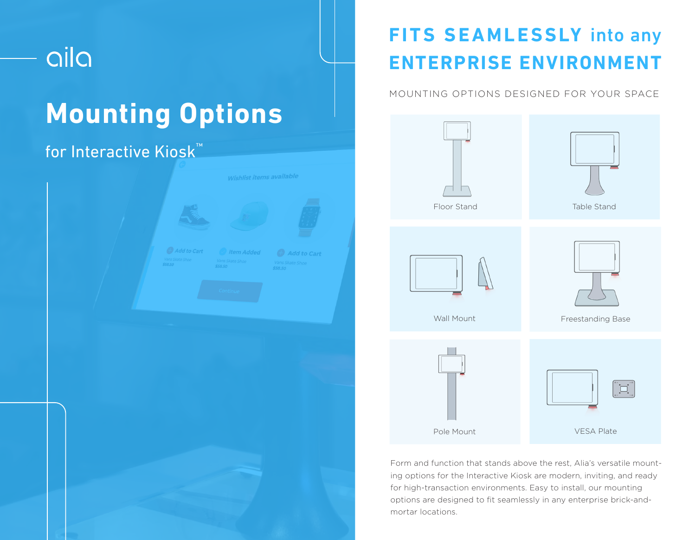# aila

# **Mounting Options**

### for Interactive Kiosk™



## **FITS SEAMLESSLY** into any **ENTERPRISE ENVIRONMENT**

### MOUNTING OPTIONS DESIGNED FOR YOUR SPACE



Form and function that stands above the rest, Alia's versatile mounting options for the Interactive Kiosk are modern, inviting, and ready for high-transaction environments. Easy to install, our mounting options are designed to fit seamlessly in any enterprise brick-andmortar locations.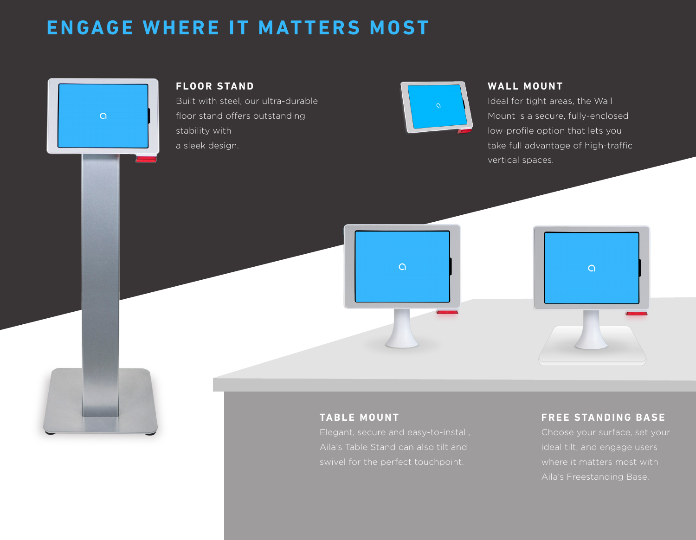### **ENGAGE WHERE IT MATTERS MOST**



#### **WALL MOUNT**

Ideal for tight areas, the Wall Mount is a secure, fully-enclosed low-profile option that lets you take full advantage of high-traffic vertical spaces.



Elegant, secure and easy-to-install, Aila's Table Stand can also tilt and swivel for the perfect touchpoint.

ideal tilt, and engage users where it matters most with Aila's Freestanding Base.